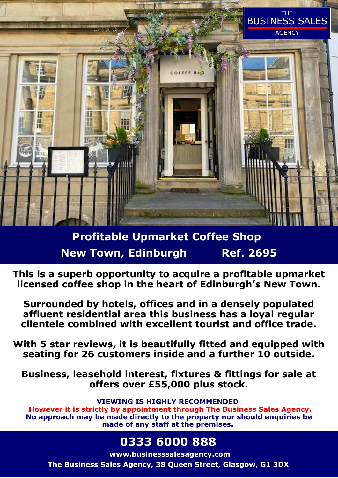

# **Profitable Upmarket Coffee Shop New Town, Edinburgh Ref. 2695**

**This is a superb opportunity to acquire a profitable upmarket licensed coffee shop in the heart of Edinburgh's New Town.** 

**Surrounded by hotels, offices and in a densely populated affluent residential area this business has a loyal regular clientele combined with excellent tourist and office trade.** 

**With 5 star reviews, it is beautifully fitted and equipped with seating for 26 customers inside and a further 10 outside.** 

**Business, leasehold interest, fixtures & fittings for sale at offers over £55,000 plus stock.** 

**VIEWING IS HIGHLY RECOMMENDED** 

 **However it is strictly by appointment through The Business Sales Agency. No approach may be made directly to the property nor should enquiries be made of any staff at the premises.** 

# **0333 6000 888**

**www.businesssalesagency.com**

**The Business Sales Agency, 38 Queen Street, Glasgow, G1 3DX**